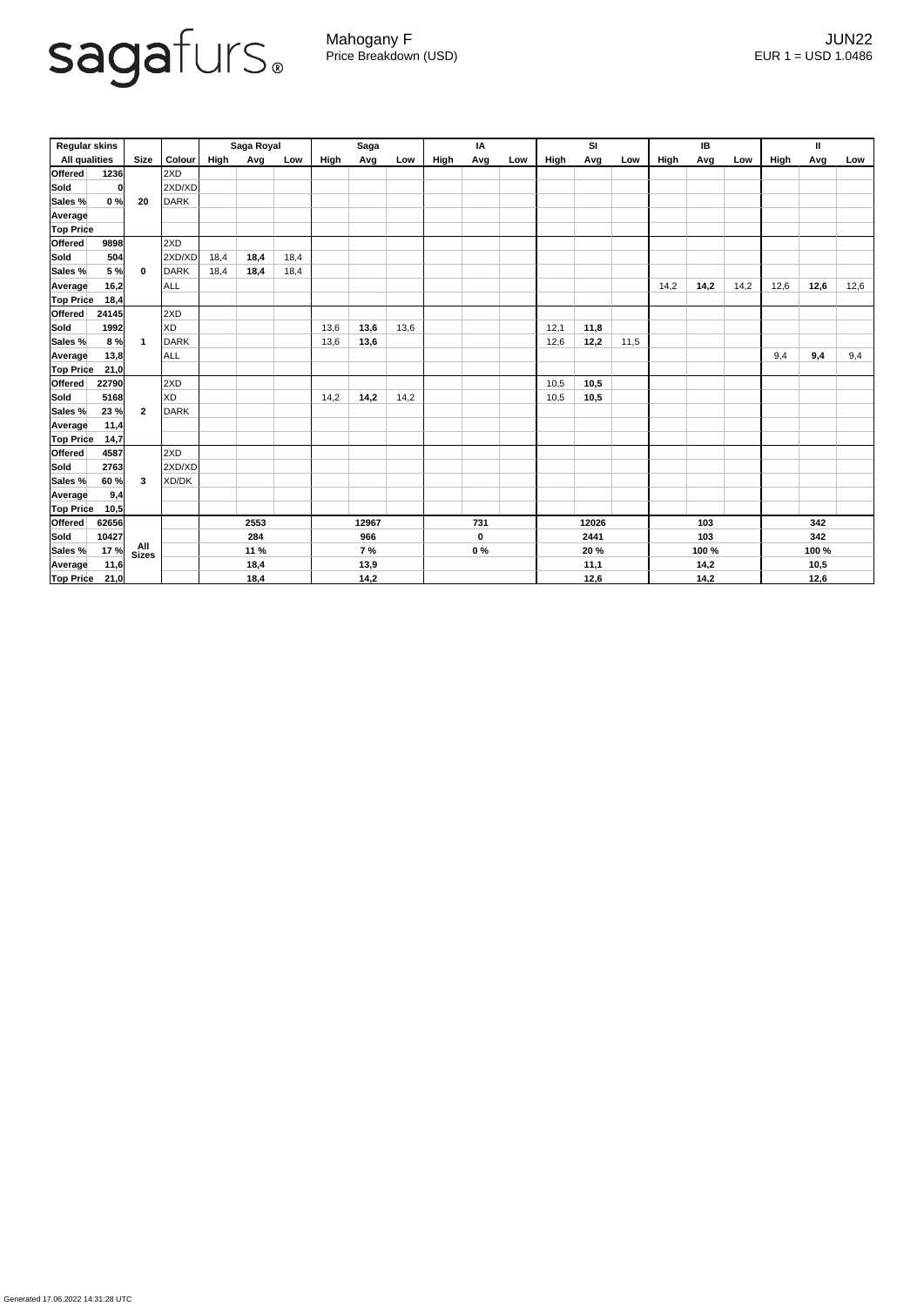

Generated 17.06.2022 14:31:28 UTC

Mahogany F JUN22 Price Breakdown (USD) error and the USD 1.0486

| <b>Regular skins</b> |       |                |             | Saga Royal  |      |       | <b>Saga</b> |             |       | IA          |      |     | SI    |      |       | <b>IB</b>   |      |      | $\mathbf{I}$ |      |      |
|----------------------|-------|----------------|-------------|-------------|------|-------|-------------|-------------|-------|-------------|------|-----|-------|------|-------|-------------|------|------|--------------|------|------|
| <b>All qualities</b> |       | <b>Size</b>    | Colour      | <b>High</b> | Avg  | Low   | High        | Avg         | Low   | <b>High</b> | Avg  | Low | High  | Avg  | Low   | <b>High</b> | Avg  | Low  | High         | Avg  | Low  |
| Offered              | 1236  |                | 2XD         |             |      |       |             |             |       |             |      |     |       |      |       |             |      |      |              |      |      |
| <b>Sold</b>          |       |                | 2XD/XD      |             |      |       |             |             |       |             |      |     |       |      |       |             |      |      |              |      |      |
| Sales %              | 0%    | 20             | <b>DARK</b> |             |      |       |             |             |       |             |      |     |       |      |       |             |      |      |              |      |      |
| <b>Average</b>       |       |                |             |             |      |       |             |             |       |             |      |     |       |      |       |             |      |      |              |      |      |
| <b>Top Price</b>     |       |                |             |             |      |       |             |             |       |             |      |     |       |      |       |             |      |      |              |      |      |
| <b>Offered</b>       | 9898  |                | 2XD         |             |      |       |             |             |       |             |      |     |       |      |       |             |      |      |              |      |      |
| <b>Sold</b>          | 504   |                | 2XD/XD      | 18,4        | 18,4 | 18,4  |             |             |       |             |      |     |       |      |       |             |      |      |              |      |      |
| Sales %              | 5 %   | $\mathbf 0$    | DARK        | 18,4        | 18,4 | 18,4  |             |             |       |             |      |     |       |      |       |             |      |      |              |      |      |
| <b>Average</b>       | 16,2  |                | <b>ALL</b>  |             |      |       |             |             |       |             |      |     |       |      |       | 14,2        | 14,2 | 14,2 | 12,6         | 12,6 | 12,6 |
| <b>Top Price</b>     | 18,4  |                |             |             |      |       |             |             |       |             |      |     |       |      |       |             |      |      |              |      |      |
| <b>Offered</b>       | 24145 |                | 2XD         |             |      |       |             |             |       |             |      |     |       |      |       |             |      |      |              |      |      |
| <b>Sold</b>          | 1992  |                | <b>XD</b>   |             |      |       | 13,6        | 13,6        | 13,6  |             |      |     | 12,1  | 11,8 |       |             |      |      |              |      |      |
| Sales %              | 8 %   | $\mathbf{1}$   | DARK        |             |      |       | 13,6        | 13,6        |       |             |      |     | 12,6  | 12,2 | 11,5  |             |      |      |              |      |      |
| <b>Average</b>       | 13,8  |                | ALL         |             |      |       |             |             |       |             |      |     |       |      |       |             |      |      | 9,4          | 9,4  | 9,4  |
| Top Price            | 21,0  |                |             |             |      |       |             |             |       |             |      |     |       |      |       |             |      |      |              |      |      |
| <b>Offered</b>       | 22790 |                | 2XD         |             |      |       |             |             |       |             |      |     | 10,5  | 10,5 |       |             |      |      |              |      |      |
| <b>Sold</b>          | 5168  |                | <b>XD</b>   |             |      |       | 14,2        | 14,2        | 14,2  |             |      |     | 10,5  | 10,5 |       |             |      |      |              |      |      |
| Sales %              | 23%   | $\overline{2}$ | <b>DARK</b> |             |      |       |             |             |       |             |      |     |       |      |       |             |      |      |              |      |      |
| <b>Average</b>       | 11,4  |                |             |             |      |       |             |             |       |             |      |     |       |      |       |             |      |      |              |      |      |
| <b>Top Price</b>     | 14,7  |                |             |             |      |       |             |             |       |             |      |     |       |      |       |             |      |      |              |      |      |
| <b>Offered</b>       | 4587  |                | 2XD         |             |      |       |             |             |       |             |      |     |       |      |       |             |      |      |              |      |      |
| <b>Sold</b>          | 2763  |                | 2XD/XD      |             |      |       |             |             |       |             |      |     |       |      |       |             |      |      |              |      |      |
| Sales %              | 60%   | 3              | XD/DK       |             |      |       |             |             |       |             |      |     |       |      |       |             |      |      |              |      |      |
| Average              | 9,4   |                |             |             |      |       |             |             |       |             |      |     |       |      |       |             |      |      |              |      |      |
| <b>Top Price</b>     | 10,5  |                |             |             |      |       |             |             |       |             |      |     |       |      |       |             |      |      |              |      |      |
| <b>Offered</b>       | 62656 |                |             | 2553        |      | 12967 |             | 731         |       | 12026       |      | 103 |       | 342  |       |             |      |      |              |      |      |
| Sold                 | 10427 |                |             | 284         |      | 966   |             | $\mathbf 0$ |       | 2441        |      | 103 |       | 342  |       |             |      |      |              |      |      |
| Sales %              | 17%   | All<br>Sizes   |             | 11 %        |      | 7%    |             |             | $0\%$ |             | 20 % |     | 100 % |      | 100 % |             |      |      |              |      |      |
| <b>Average</b>       | 11,6  |                |             | 18,4        |      | 13,9  |             |             |       |             | 11,1 |     | 14,2  |      | 10,5  |             |      |      |              |      |      |
| <b>Top Price</b>     | 21,0  |                |             |             | 18,4 |       |             | 14,2        |       |             |      |     |       | 12,6 |       |             | 14,2 |      |              | 12,6 |      |